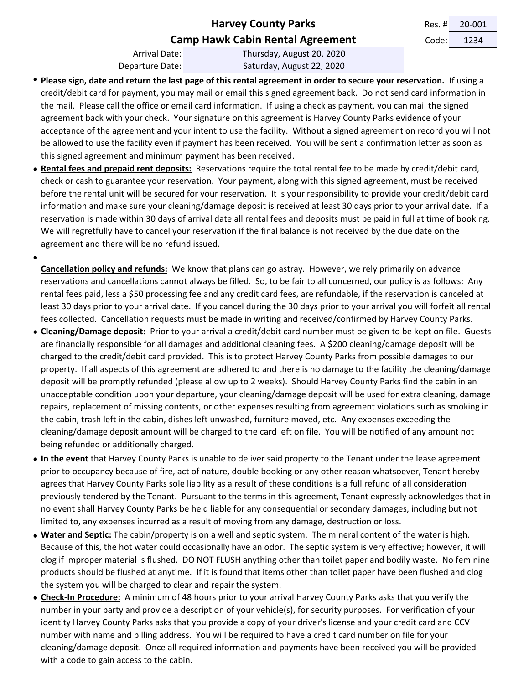## **Harvey County Parks Camp Hawk Cabin Rental Agreement**

Arrival Date: Departure Date: Thursday, August 20, 2020 Saturday, August 22, 2020

- **Please sign, date and return the last page of this rental agreement in order to secure your reservation.** If using a credit/debit card for payment, you may mail or email this signed agreement back. Do not send card information in the mail. Please call the office or email card information. If using a check as payment, you can mail the signed agreement back with your check. Your signature on this agreement is Harvey County Parks evidence of your acceptance of the agreement and your intent to use the facility. Without a signed agreement on record you will not be allowed to use the facility even if payment has been received. You will be sent a confirmation letter as soon as this signed agreement and minimum payment has been received.
- **Rental fees and prepaid rent deposits:** Reservations require the total rental fee to be made by credit/debit card, check or cash to guarantee your reservation. Your payment, along with this signed agreement, must be received before the rental unit will be secured for your reservation. It is your responsibility to provide your credit/debit card information and make sure your cleaning/damage deposit is received at least 30 days prior to your arrival date. If a reservation is made within 30 days of arrival date all rental fees and deposits must be paid in full at time of booking. We will regretfully have to cancel your reservation if the final balance is not received by the due date on the agreement and there will be no refund issued.
- $\bullet$ **Cancellation policy and refunds:** We know that plans can go astray. However, we rely primarily on advance reservations and cancellations cannot always be filled. So, to be fair to all concerned, our policy is as follows: Any rental fees paid, less a \$50 processing fee and any credit card fees, are refundable, if the reservation is canceled at least 30 days prior to your arrival date. If you cancel during the 30 days prior to your arrival you will forfeit all rental fees collected. Cancellation requests must be made in writing and received/confirmed by Harvey County Parks.
- **Cleaning/Damage deposit:** Prior to your arrival a credit/debit card number must be given to be kept on file. Guests are financially responsible for all damages and additional cleaning fees. A \$200 cleaning/damage deposit will be charged to the credit/debit card provided. This is to protect Harvey County Parks from possible damages to our property. If all aspects of this agreement are adhered to and there is no damage to the facility the cleaning/damage deposit will be promptly refunded (please allow up to 2 weeks). Should Harvey County Parks find the cabin in an unacceptable condition upon your departure, your cleaning/damage deposit will be used for extra cleaning, damage repairs, replacement of missing contents, or other expenses resulting from agreement violations such as smoking in the cabin, trash left in the cabin, dishes left unwashed, furniture moved, etc. Any expenses exceeding the cleaning/damage deposit amount will be charged to the card left on file. You will be notified of any amount not being refunded or additionally charged.
- **In the event** that Harvey County Parks is unable to deliver said property to the Tenant under the lease agreement prior to occupancy because of fire, act of nature, double booking or any other reason whatsoever, Tenant hereby agrees that Harvey County Parks sole liability as a result of these conditions is a full refund of all consideration previously tendered by the Tenant. Pursuant to the terms in this agreement, Tenant expressly acknowledges that in no event shall Harvey County Parks be held liable for any consequential or secondary damages, including but not limited to, any expenses incurred as a result of moving from any damage, destruction or loss.
- **Water and Septic:** The cabin/property is on a well and septic system. The mineral content of the water is high. Because of this, the hot water could occasionally have an odor. The septic system is very effective; however, it will clog if improper material is flushed. DO NOT FLUSH anything other than toilet paper and bodily waste. No feminine products should be flushed at anytime. If it is found that items other than toilet paper have been flushed and clog the system you will be charged to clear and repair the system.
- **Check-In Procedure:** A minimum of 48 hours prior to your arrival Harvey County Parks asks that you verify the number in your party and provide a description of your vehicle(s), for security purposes. For verification of your identity Harvey County Parks asks that you provide a copy of your driver's license and your credit card and CCV number with name and billing address. You will be required to have a credit card number on file for your cleaning/damage deposit. Once all required information and payments have been received you will be provided with a code to gain access to the cabin.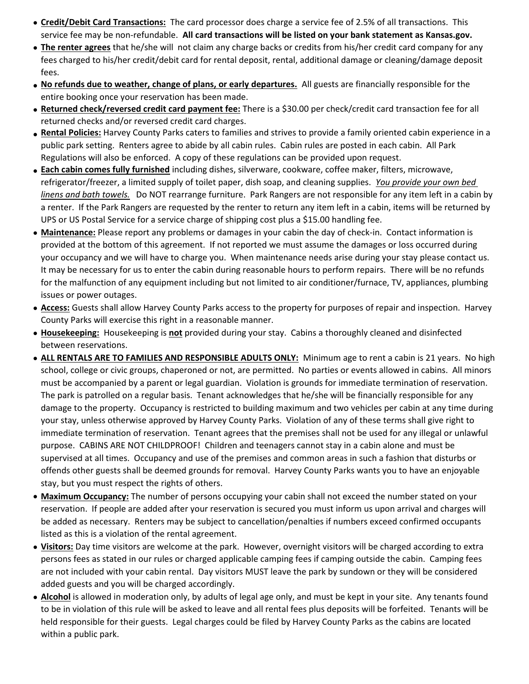- **Credit/Debit Card Transactions:** The card processor does charge a service fee of 2.5% of all transactions. This service fee may be non-refundable. **All card transactions will be listed on your bank statement as Kansas.gov.**
- **The renter agrees** that he/she will not claim any charge backs or credits from his/her credit card company for any fees charged to his/her credit/debit card for rental deposit, rental, additional damage or cleaning/damage deposit fees.
- **No refunds due to weather, change of plans, or early departures.** All guests are financially responsible for the entire booking once your reservation has been made.
- **Returned check/reversed credit card payment fee:** There is a \$30.00 per check/credit card transaction fee for all returned checks and/or reversed credit card charges.
- **Rental Policies:** Harvey County Parks caters to families and strives to provide a family oriented cabin experience in a public park setting. Renters agree to abide by all cabin rules. Cabin rules are posted in each cabin. All Park Regulations will also be enforced. A copy of these regulations can be provided upon request.
- **Each cabin comes fully furnished** including dishes, silverware, cookware, coffee maker, filters, microwave, refrigerator/freezer, a limited supply of toilet paper, dish soap, and cleaning supplies. *You provide your own bed linens and bath towels.* Do NOT rearrange furniture. Park Rangers are not responsible for any item left in a cabin by a renter. If the Park Rangers are requested by the renter to return any item left in a cabin, items will be returned by UPS or US Postal Service for a service charge of shipping cost plus a \$15.00 handling fee.
- **Maintenance:** Please report any problems or damages in your cabin the day of check-in. Contact information is provided at the bottom of this agreement. If not reported we must assume the damages or loss occurred during your occupancy and we will have to charge you. When maintenance needs arise during your stay please contact us. It may be necessary for us to enter the cabin during reasonable hours to perform repairs. There will be no refunds for the malfunction of any equipment including but not limited to air conditioner/furnace, TV, appliances, plumbing issues or power outages.
- **Access:** Guests shall allow Harvey County Parks access to the property for purposes of repair and inspection. Harvey County Parks will exercise this right in a reasonable manner.
- **Housekeeping:** Housekeeping is **not** provided during your stay. Cabins a thoroughly cleaned and disinfected between reservations.
- **ALL RENTALS ARE TO FAMILIES AND RESPONSIBLE ADULTS ONLY:** Minimum age to rent a cabin is 21 years. No high school, college or civic groups, chaperoned or not, are permitted. No parties or events allowed in cabins. All minors must be accompanied by a parent or legal guardian. Violation is grounds for immediate termination of reservation. The park is patrolled on a regular basis. Tenant acknowledges that he/she will be financially responsible for any damage to the property. Occupancy is restricted to building maximum and two vehicles per cabin at any time during your stay, unless otherwise approved by Harvey County Parks. Violation of any of these terms shall give right to immediate termination of reservation. Tenant agrees that the premises shall not be used for any illegal or unlawful purpose. CABINS ARE NOT CHILDPROOF! Children and teenagers cannot stay in a cabin alone and must be supervised at all times. Occupancy and use of the premises and common areas in such a fashion that disturbs or offends other guests shall be deemed grounds for removal. Harvey County Parks wants you to have an enjoyable stay, but you must respect the rights of others.
- **Maximum Occupancy:** The number of persons occupying your cabin shall not exceed the number stated on your reservation. If people are added after your reservation is secured you must inform us upon arrival and charges will be added as necessary. Renters may be subject to cancellation/penalties if numbers exceed confirmed occupants listed as this is a violation of the rental agreement.
- **Visitors:** Day time visitors are welcome at the park. However, overnight visitors will be charged according to extra persons fees as stated in our rules or charged applicable camping fees if camping outside the cabin. Camping fees are not included with your cabin rental. Day visitors MUST leave the park by sundown or they will be considered added guests and you will be charged accordingly.
- **Alcohol** is allowed in moderation only, by adults of legal age only, and must be kept in your site. Any tenants found to be in violation of this rule will be asked to leave and all rental fees plus deposits will be forfeited. Tenants will be held responsible for their guests. Legal charges could be filed by Harvey County Parks as the cabins are located within a public park.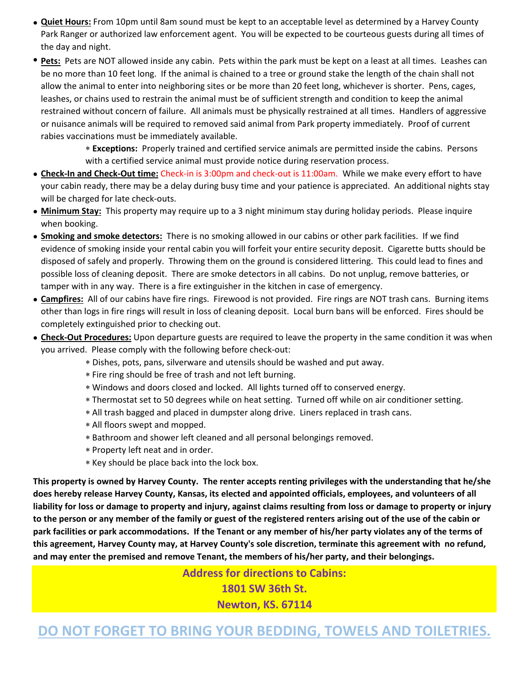- **Quiet Hours:** From 10pm until 8am sound must be kept to an acceptable level as determined by a Harvey County Park Ranger or authorized law enforcement agent. You will be expected to be courteous guests during all times of the day and night.
- **Pets:** Pets are NOT allowed inside any cabin. Pets within the park must be kept on a least at all times. Leashes can be no more than 10 feet long. If the animal is chained to a tree or ground stake the length of the chain shall not allow the animal to enter into neighboring sites or be more than 20 feet long, whichever is shorter. Pens, cages, leashes, or chains used to restrain the animal must be of sufficient strength and condition to keep the animal restrained without concern of failure. All animals must be physically restrained at all times. Handlers of aggressive or nuisance animals will be required to removed said animal from Park property immediately. Proof of current rabies vaccinations must be immediately available.

\* **Exceptions:** Properly trained and certified service animals are permitted inside the cabins. Persons with a certified service animal must provide notice during reservation process.

- **Check-In and Check-Out time:** Check-in is 3:00pm and check-out is 11:00am. While we make every effort to have your cabin ready, there may be a delay during busy time and your patience is appreciated. An additional nights stay will be charged for late check-outs.
- **Minimum Stay:** This property may require up to a 3 night minimum stay during holiday periods. Please inquire when booking.
- **Smoking and smoke detectors:** There is no smoking allowed in our cabins or other park facilities. If we find evidence of smoking inside your rental cabin you will forfeit your entire security deposit. Cigarette butts should be disposed of safely and properly. Throwing them on the ground is considered littering. This could lead to fines and possible loss of cleaning deposit. There are smoke detectors in all cabins. Do not unplug, remove batteries, or tamper with in any way. There is a fire extinguisher in the kitchen in case of emergency.
- **Campfires:** All of our cabins have fire rings. Firewood is not provided. Fire rings are NOT trash cans. Burning items other than logs in fire rings will result in loss of cleaning deposit. Local burn bans will be enforced. Fires should be completely extinguished prior to checking out.
- **Check-Out Procedures:** Upon departure guests are required to leave the property in the same condition it was when you arrived. Please comply with the following before check-out:
	- \* Dishes, pots, pans, silverware and utensils should be washed and put away.
	- \* Fire ring should be free of trash and not left burning.
	- \* Windows and doors closed and locked. All lights turned off to conserved energy.
	- \* Thermostat set to 50 degrees while on heat setting. Turned off while on air conditioner setting.
	- \* All trash bagged and placed in dumpster along drive. Liners replaced in trash cans.
	- \* All floors swept and mopped.
	- \* Bathroom and shower left cleaned and all personal belongings removed.
	- \* Property left neat and in order.
	- \* Key should be place back into the lock box.

**This property is owned by Harvey County. The renter accepts renting privileges with the understanding that he/she does hereby release Harvey County, Kansas, its elected and appointed officials, employees, and volunteers of all liability for loss or damage to property and injury, against claims resulting from loss or damage to property or injury to the person or any member of the family or guest of the registered renters arising out of the use of the cabin or park facilities or park accommodations. If the Tenant or any member of his/her party violates any of the terms of this agreement, Harvey County may, at Harvey County's sole discretion, terminate this agreement with no refund, and may enter the premised and remove Tenant, the members of his/her party, and their belongings.**

> **Address for directions to Cabins: 1801 SW 36th St. Newton, KS. 67114**

## **DO NOT FORGET TO BRING YOUR BEDDING, TOWELS AND TOILETRIES.**